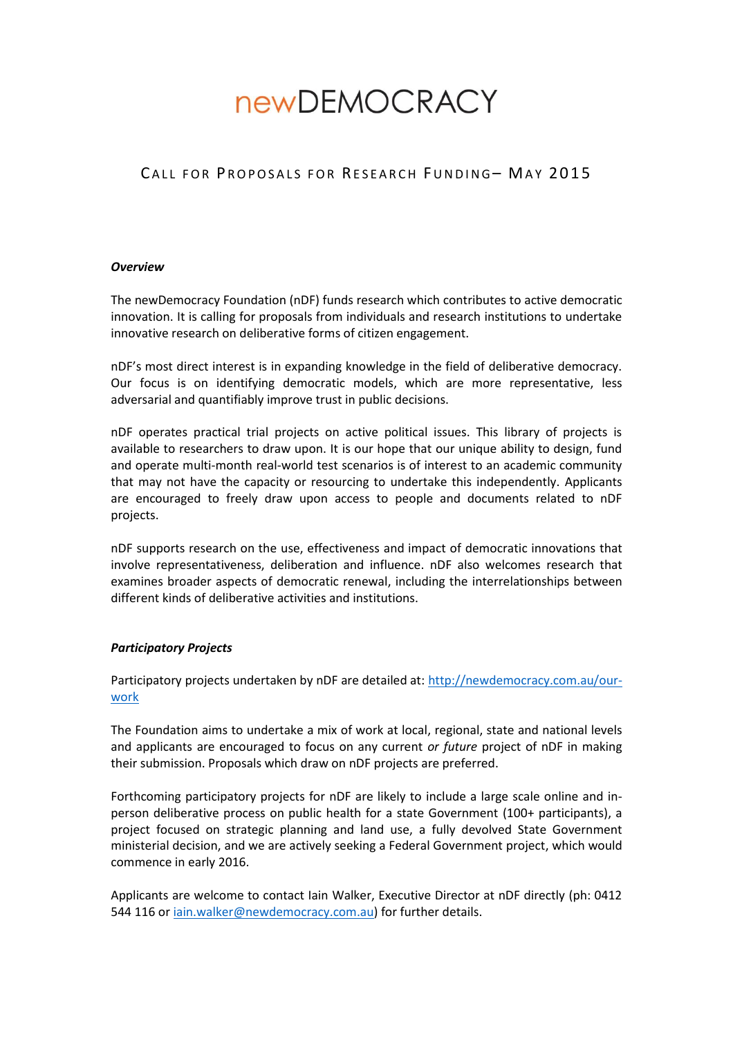# **newDEMOCRACY**

# CALL FOR PROPOSALS FOR RESEARCH FUNDING- MAY 2015

#### *Overview*

The newDemocracy Foundation (nDF) funds research which contributes to active democratic innovation. It is calling for proposals from individuals and research institutions to undertake innovative research on deliberative forms of citizen engagement.

nDF's most direct interest is in expanding knowledge in the field of deliberative democracy. Our focus is on identifying democratic models, which are more representative, less adversarial and quantifiably improve trust in public decisions.

nDF operates practical trial projects on active political issues. This library of projects is available to researchers to draw upon. It is our hope that our unique ability to design, fund and operate multi-month real-world test scenarios is of interest to an academic community that may not have the capacity or resourcing to undertake this independently. Applicants are encouraged to freely draw upon access to people and documents related to nDF projects.

nDF supports research on the use, effectiveness and impact of democratic innovations that involve representativeness, deliberation and influence. nDF also welcomes research that examines broader aspects of democratic renewal, including the interrelationships between different kinds of deliberative activities and institutions.

# *Participatory Projects*

Participatory projects undertaken by nDF are detailed at: [http://newdemocracy.com.au/our](http://newdemocracy.com.au/our-work)[work](http://newdemocracy.com.au/our-work)

The Foundation aims to undertake a mix of work at local, regional, state and national levels and applicants are encouraged to focus on any current *or future* project of nDF in making their submission. Proposals which draw on nDF projects are preferred.

Forthcoming participatory projects for nDF are likely to include a large scale online and inperson deliberative process on public health for a state Government (100+ participants), a project focused on strategic planning and land use, a fully devolved State Government ministerial decision, and we are actively seeking a Federal Government project, which would commence in early 2016.

Applicants are welcome to contact Iain Walker, Executive Director at nDF directly (ph: 0412 544 116 or *iain.walker@newdemocracy.com.au*) for further details.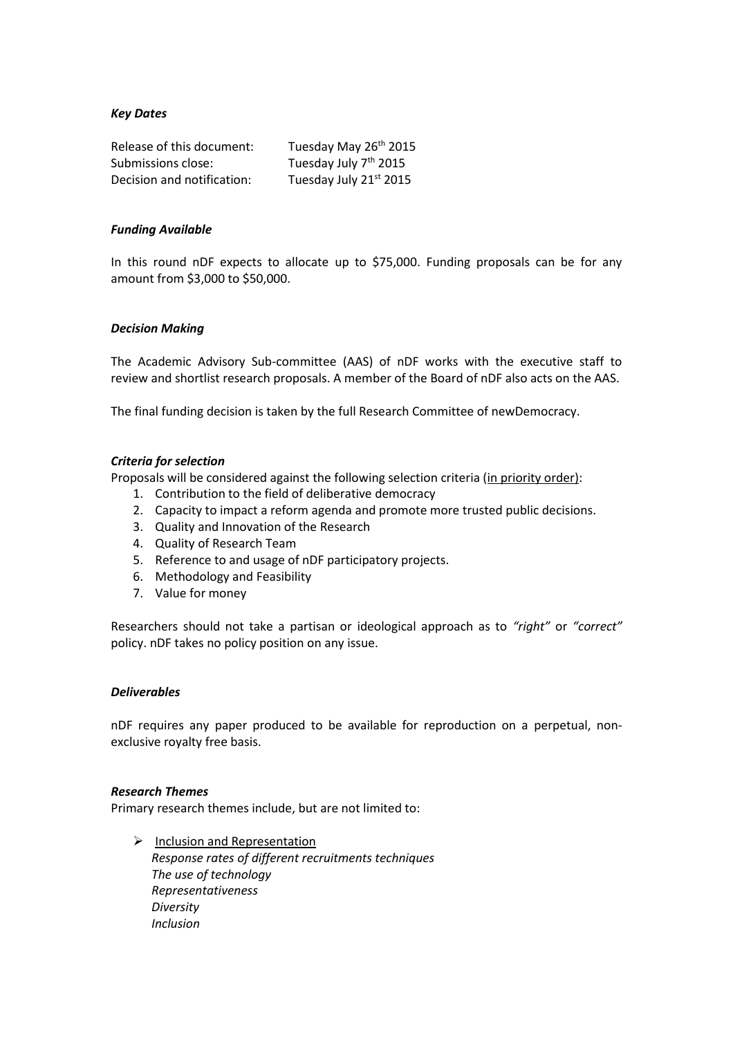# *Key Dates*

| Release of this document:  | Tuesday May 26th 2015             |
|----------------------------|-----------------------------------|
| Submissions close:         | Tuesday July 7 <sup>th</sup> 2015 |
| Decision and notification: | Tuesday July 21st 2015            |

#### *Funding Available*

In this round nDF expects to allocate up to \$75,000. Funding proposals can be for any amount from \$3,000 to \$50,000.

#### *Decision Making*

The Academic Advisory Sub-committee (AAS) of nDF works with the executive staff to review and shortlist research proposals. A member of the Board of nDF also acts on the AAS.

The final funding decision is taken by the full Research Committee of newDemocracy.

#### *Criteria for selection*

Proposals will be considered against the following selection criteria (in priority order):

- 1. Contribution to the field of deliberative democracy
- 2. Capacity to impact a reform agenda and promote more trusted public decisions.
- 3. Quality and Innovation of the Research
- 4. Quality of Research Team
- 5. Reference to and usage of nDF participatory projects.
- 6. Methodology and Feasibility
- 7. Value for money

Researchers should not take a partisan or ideological approach as to *"right"* or *"correct"* policy. nDF takes no policy position on any issue.

# *Deliverables*

nDF requires any paper produced to be available for reproduction on a perpetual, nonexclusive royalty free basis.

#### *Research Themes*

Primary research themes include, but are not limited to:

 $\triangleright$  Inclusion and Representation *Response rates of different recruitments techniques The use of technology Representativeness Diversity Inclusion*